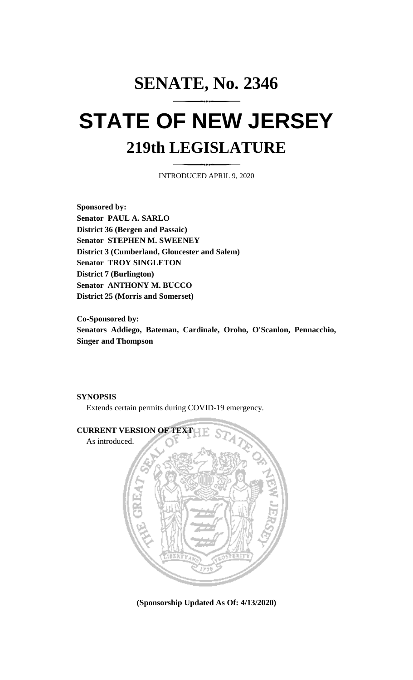# **SENATE, No. 2346 STATE OF NEW JERSEY 219th LEGISLATURE**

INTRODUCED APRIL 9, 2020

**Sponsored by: Senator PAUL A. SARLO District 36 (Bergen and Passaic) Senator STEPHEN M. SWEENEY District 3 (Cumberland, Gloucester and Salem) Senator TROY SINGLETON District 7 (Burlington) Senator ANTHONY M. BUCCO District 25 (Morris and Somerset)**

**Co-Sponsored by: Senators Addiego, Bateman, Cardinale, Oroho, O'Scanlon, Pennacchio, Singer and Thompson**

### **SYNOPSIS**

Extends certain permits during COVID-19 emergency.



**(Sponsorship Updated As Of: 4/13/2020)**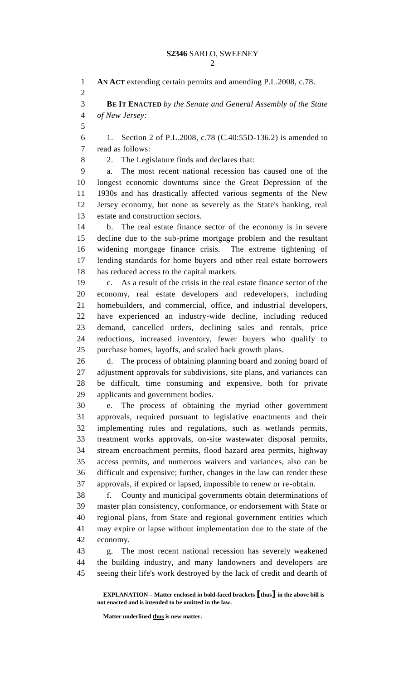**AN ACT** extending certain permits and amending P.L.2008, c.78. **BE IT ENACTED** *by the Senate and General Assembly of the State of New Jersey:* 1. Section 2 of P.L.2008, c.78 (C.40:55D-136.2) is amended to read as follows: 2. The Legislature finds and declares that: a. The most recent national recession has caused one of the longest economic downturns since the Great Depression of the 1930s and has drastically affected various segments of the New Jersey economy, but none as severely as the State's banking, real estate and construction sectors. b. The real estate finance sector of the economy is in severe decline due to the sub-prime mortgage problem and the resultant widening mortgage finance crisis. The extreme tightening of lending standards for home buyers and other real estate borrowers has reduced access to the capital markets. c. As a result of the crisis in the real estate finance sector of the economy, real estate developers and redevelopers, including homebuilders, and commercial, office, and industrial developers, have experienced an industry-wide decline, including reduced demand, cancelled orders, declining sales and rentals, price reductions, increased inventory, fewer buyers who qualify to purchase homes, layoffs, and scaled back growth plans. d. The process of obtaining planning board and zoning board of adjustment approvals for subdivisions, site plans, and variances can be difficult, time consuming and expensive, both for private applicants and government bodies. e. The process of obtaining the myriad other government approvals, required pursuant to legislative enactments and their implementing rules and regulations, such as wetlands permits, treatment works approvals, on-site wastewater disposal permits, stream encroachment permits, flood hazard area permits, highway access permits, and numerous waivers and variances, also can be difficult and expensive; further, changes in the law can render these approvals, if expired or lapsed, impossible to renew or re-obtain. f. County and municipal governments obtain determinations of master plan consistency, conformance, or endorsement with State or regional plans, from State and regional government entities which may expire or lapse without implementation due to the state of the economy. g. The most recent national recession has severely weakened the building industry, and many landowners and developers are seeing their life's work destroyed by the lack of credit and dearth of

**Matter underlined thus is new matter.**

**EXPLANATION – Matter enclosed in bold-faced brackets [thus] in the above bill is not enacted and is intended to be omitted in the law.**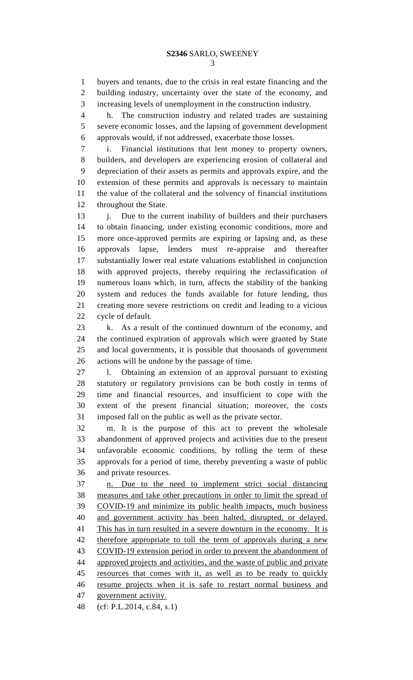buyers and tenants, due to the crisis in real estate financing and the building industry, uncertainty over the state of the economy, and increasing levels of unemployment in the construction industry.

 h. The construction industry and related trades are sustaining severe economic losses, and the lapsing of government development approvals would, if not addressed, exacerbate those losses.

 i. Financial institutions that lent money to property owners, builders, and developers are experiencing erosion of collateral and depreciation of their assets as permits and approvals expire, and the extension of these permits and approvals is necessary to maintain the value of the collateral and the solvency of financial institutions throughout the State.

13 j. Due to the current inability of builders and their purchasers to obtain financing, under existing economic conditions, more and more once-approved permits are expiring or lapsing and, as these approvals lapse, lenders must re-appraise and thereafter substantially lower real estate valuations established in conjunction with approved projects, thereby requiring the reclassification of numerous loans which, in turn, affects the stability of the banking system and reduces the funds available for future lending, thus creating more severe restrictions on credit and leading to a vicious cycle of default.

 k. As a result of the continued downturn of the economy, and the continued expiration of approvals which were granted by State and local governments, it is possible that thousands of government actions will be undone by the passage of time.

 l. Obtaining an extension of an approval pursuant to existing statutory or regulatory provisions can be both costly in terms of time and financial resources, and insufficient to cope with the extent of the present financial situation; moreover, the costs imposed fall on the public as well as the private sector.

 m. It is the purpose of this act to prevent the wholesale abandonment of approved projects and activities due to the present unfavorable economic conditions, by tolling the term of these approvals for a period of time, thereby preventing a waste of public and private resources.

 n. Due to the need to implement strict social distancing measures and take other precautions in order to limit the spread of COVID-19 and minimize its public health impacts, much business and government activity has been halted, disrupted, or delayed. This has in turn resulted in a severe downturn in the economy. It is 42 therefore appropriate to toll the term of approvals during a new COVID-19 extension period in order to prevent the abandonment of approved projects and activities, and the waste of public and private resources that comes with it, as well as to be ready to quickly resume projects when it is safe to restart normal business and government activity.

(cf: P.L.2014, c.84, s.1)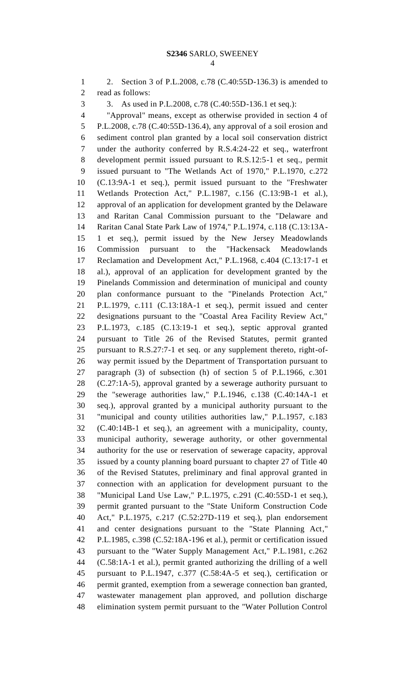2. Section 3 of P.L.2008, c.78 (C.40:55D-136.3) is amended to read as follows: 3. As used in P.L.2008, c.78 (C.40:55D-136.1 et seq.): "Approval" means, except as otherwise provided in section 4 of P.L.2008, c.78 (C.40:55D-136.4), any approval of a soil erosion and sediment control plan granted by a local soil conservation district under the authority conferred by R.S.4:24-22 et seq., waterfront development permit issued pursuant to R.S.12:5-1 et seq., permit issued pursuant to "The Wetlands Act of 1970," P.L.1970, c.272 (C.13:9A-1 et seq.), permit issued pursuant to the "Freshwater Wetlands Protection Act," P.L.1987, c.156 (C.13:9B-1 et al.), approval of an application for development granted by the Delaware and Raritan Canal Commission pursuant to the "Delaware and Raritan Canal State Park Law of 1974," P.L.1974, c.118 (C.13:13A- 1 et seq.), permit issued by the New Jersey Meadowlands Commission pursuant to the "Hackensack Meadowlands Reclamation and Development Act," P.L.1968, c.404 (C.13:17-1 et al.), approval of an application for development granted by the Pinelands Commission and determination of municipal and county plan conformance pursuant to the "Pinelands Protection Act," P.L.1979, c.111 (C.13:18A-1 et seq.), permit issued and center designations pursuant to the "Coastal Area Facility Review Act," P.L.1973, c.185 (C.13:19-1 et seq.), septic approval granted pursuant to Title 26 of the Revised Statutes, permit granted pursuant to R.S.27:7-1 et seq. or any supplement thereto, right-of- way permit issued by the Department of Transportation pursuant to paragraph (3) of subsection (h) of section 5 of P.L.1966, c.301 (C.27:1A-5), approval granted by a sewerage authority pursuant to the "sewerage authorities law," P.L.1946, c.138 (C.40:14A-1 et seq.), approval granted by a municipal authority pursuant to the "municipal and county utilities authorities law," P.L.1957, c.183 (C.40:14B-1 et seq.), an agreement with a municipality, county, municipal authority, sewerage authority, or other governmental authority for the use or reservation of sewerage capacity, approval issued by a county planning board pursuant to chapter 27 of Title 40 of the Revised Statutes, preliminary and final approval granted in connection with an application for development pursuant to the "Municipal Land Use Law," P.L.1975, c.291 (C.40:55D-1 et seq.), permit granted pursuant to the "State Uniform Construction Code Act," P.L.1975, c.217 (C.52:27D-119 et seq.), plan endorsement and center designations pursuant to the "State Planning Act," P.L.1985, c.398 (C.52:18A-196 et al.), permit or certification issued pursuant to the "Water Supply Management Act," P.L.1981, c.262 (C.58:1A-1 et al.), permit granted authorizing the drilling of a well pursuant to P.L.1947, c.377 (C.58:4A-5 et seq.), certification or permit granted, exemption from a sewerage connection ban granted, wastewater management plan approved, and pollution discharge elimination system permit pursuant to the "Water Pollution Control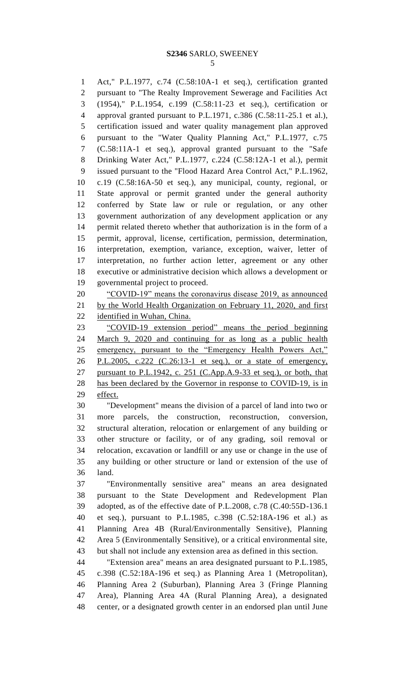Act," P.L.1977, c.74 (C.58:10A-1 et seq.), certification granted pursuant to "The Realty Improvement Sewerage and Facilities Act (1954)," P.L.1954, c.199 (C.58:11-23 et seq.), certification or approval granted pursuant to P.L.1971, c.386 (C.58:11-25.1 et al.), certification issued and water quality management plan approved pursuant to the "Water Quality Planning Act," P.L.1977, c.75 (C.58:11A-1 et seq.), approval granted pursuant to the "Safe Drinking Water Act," P.L.1977, c.224 (C.58:12A-1 et al.), permit issued pursuant to the "Flood Hazard Area Control Act," P.L.1962, c.19 (C.58:16A-50 et seq.), any municipal, county, regional, or State approval or permit granted under the general authority conferred by State law or rule or regulation, or any other government authorization of any development application or any permit related thereto whether that authorization is in the form of a permit, approval, license, certification, permission, determination, interpretation, exemption, variance, exception, waiver, letter of interpretation, no further action letter, agreement or any other executive or administrative decision which allows a development or governmental project to proceed.

 "COVID-19" means the coronavirus disease 2019, as announced by the World Health Organization on February 11, 2020, and first identified in Wuhan, China.

 "COVID-19 extension period" means the period beginning March 9, 2020 and continuing for as long as a public health 25 emergency, pursuant to the "Emergency Health Powers Act," P.L.2005, c.222 (C.26:13-1 et seq.), or a state of emergency, 27 pursuant to P.L.1942, c. 251 (C.App.A.9-33 et seq.), or both, that has been declared by the Governor in response to COVID-19, is in effect.

 "Development" means the division of a parcel of land into two or more parcels, the construction, reconstruction, conversion, structural alteration, relocation or enlargement of any building or other structure or facility, or of any grading, soil removal or relocation, excavation or landfill or any use or change in the use of any building or other structure or land or extension of the use of land.

 "Environmentally sensitive area" means an area designated pursuant to the State Development and Redevelopment Plan adopted, as of the effective date of P.L.2008, c.78 (C.40:55D-136.1 et seq.), pursuant to P.L.1985, c.398 (C.52:18A-196 et al.) as Planning Area 4B (Rural/Environmentally Sensitive), Planning Area 5 (Environmentally Sensitive), or a critical environmental site, but shall not include any extension area as defined in this section.

 "Extension area" means an area designated pursuant to P.L.1985, c.398 (C.52:18A-196 et seq.) as Planning Area 1 (Metropolitan), Planning Area 2 (Suburban), Planning Area 3 (Fringe Planning Area), Planning Area 4A (Rural Planning Area), a designated center, or a designated growth center in an endorsed plan until June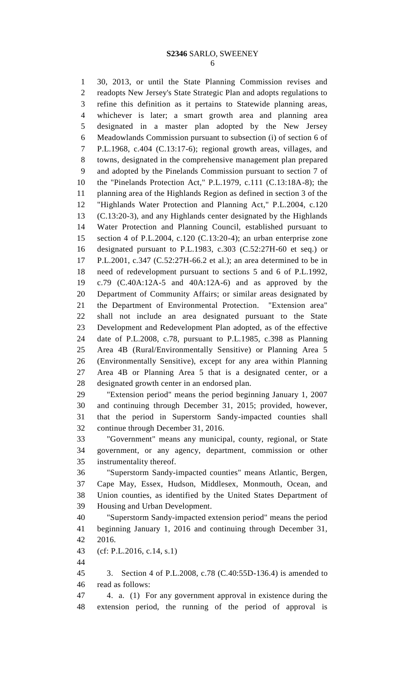### **S2346** SARLO, SWEENEY

 30, 2013, or until the State Planning Commission revises and readopts New Jersey's State Strategic Plan and adopts regulations to refine this definition as it pertains to Statewide planning areas, whichever is later; a smart growth area and planning area designated in a master plan adopted by the New Jersey Meadowlands Commission pursuant to subsection (i) of section 6 of P.L.1968, c.404 (C.13:17-6); regional growth areas, villages, and towns, designated in the comprehensive management plan prepared and adopted by the Pinelands Commission pursuant to section 7 of the "Pinelands Protection Act," P.L.1979, c.111 (C.13:18A-8); the planning area of the Highlands Region as defined in section 3 of the "Highlands Water Protection and Planning Act," P.L.2004, c.120 (C.13:20-3), and any Highlands center designated by the Highlands Water Protection and Planning Council, established pursuant to section 4 of P.L.2004, c.120 (C.13:20-4); an urban enterprise zone designated pursuant to P.L.1983, c.303 (C.52:27H-60 et seq.) or P.L.2001, c.347 (C.52:27H-66.2 et al.); an area determined to be in need of redevelopment pursuant to sections 5 and 6 of P.L.1992, c.79 (C.40A:12A-5 and 40A:12A-6) and as approved by the Department of Community Affairs; or similar areas designated by the Department of Environmental Protection. "Extension area" shall not include an area designated pursuant to the State Development and Redevelopment Plan adopted, as of the effective date of P.L.2008, c.78, pursuant to P.L.1985, c.398 as Planning Area 4B (Rural/Environmentally Sensitive) or Planning Area 5 (Environmentally Sensitive), except for any area within Planning Area 4B or Planning Area 5 that is a designated center, or a designated growth center in an endorsed plan. "Extension period" means the period beginning January 1, 2007 and continuing through December 31, 2015; provided, however, that the period in Superstorm Sandy-impacted counties shall continue through December 31, 2016. "Government" means any municipal, county, regional, or State government, or any agency, department, commission or other instrumentality thereof. "Superstorm Sandy-impacted counties" means Atlantic, Bergen, Cape May, Essex, Hudson, Middlesex, Monmouth, Ocean, and Union counties, as identified by the United States Department of Housing and Urban Development. "Superstorm Sandy-impacted extension period" means the period beginning January 1, 2016 and continuing through December 31,

2016.

(cf: P.L.2016, c.14, s.1)

 3. Section 4 of P.L.2008, c.78 (C.40:55D-136.4) is amended to read as follows:

 4. a. (1) For any government approval in existence during the extension period, the running of the period of approval is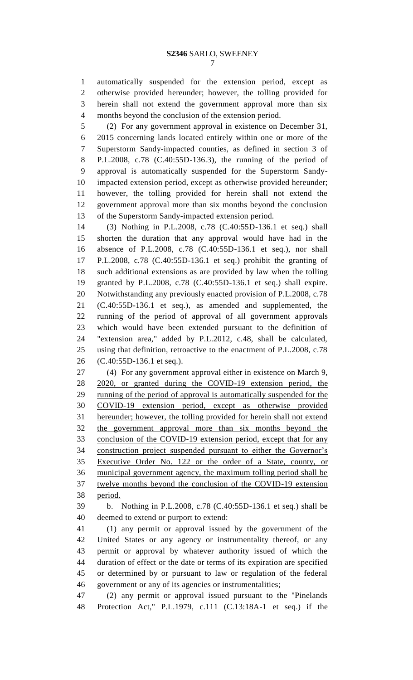automatically suspended for the extension period, except as otherwise provided hereunder; however, the tolling provided for herein shall not extend the government approval more than six months beyond the conclusion of the extension period.

 (2) For any government approval in existence on December 31, 2015 concerning lands located entirely within one or more of the Superstorm Sandy-impacted counties, as defined in section 3 of P.L.2008, c.78 (C.40:55D-136.3), the running of the period of approval is automatically suspended for the Superstorm Sandy- impacted extension period, except as otherwise provided hereunder; however, the tolling provided for herein shall not extend the government approval more than six months beyond the conclusion of the Superstorm Sandy-impacted extension period.

 (3) Nothing in P.L.2008, c.78 (C.40:55D-136.1 et seq.) shall shorten the duration that any approval would have had in the absence of P.L.2008, c.78 (C.40:55D-136.1 et seq.), nor shall P.L.2008, c.78 (C.40:55D-136.1 et seq.) prohibit the granting of such additional extensions as are provided by law when the tolling granted by P.L.2008, c.78 (C.40:55D-136.1 et seq.) shall expire. Notwithstanding any previously enacted provision of P.L.2008, c.78 (C.40:55D-136.1 et seq.), as amended and supplemented, the running of the period of approval of all government approvals which would have been extended pursuant to the definition of "extension area," added by P.L.2012, c.48, shall be calculated, using that definition, retroactive to the enactment of P.L.2008, c.78 (C.40:55D-136.1 et seq.).

 (4) For any government approval either in existence on March 9, 2020, or granted during the COVID-19 extension period, the running of the period of approval is automatically suspended for the COVID-19 extension period, except as otherwise provided hereunder; however, the tolling provided for herein shall not extend the government approval more than six months beyond the conclusion of the COVID-19 extension period, except that for any construction project suspended pursuant to either the Governor's Executive Order No. 122 or the order of a State, county, or municipal government agency, the maximum tolling period shall be twelve months beyond the conclusion of the COVID-19 extension period.

 b. Nothing in P.L.2008, c.78 (C.40:55D-136.1 et seq.) shall be deemed to extend or purport to extend:

 (1) any permit or approval issued by the government of the United States or any agency or instrumentality thereof, or any permit or approval by whatever authority issued of which the duration of effect or the date or terms of its expiration are specified or determined by or pursuant to law or regulation of the federal government or any of its agencies or instrumentalities;

 (2) any permit or approval issued pursuant to the "Pinelands Protection Act," P.L.1979, c.111 (C.13:18A-1 et seq.) if the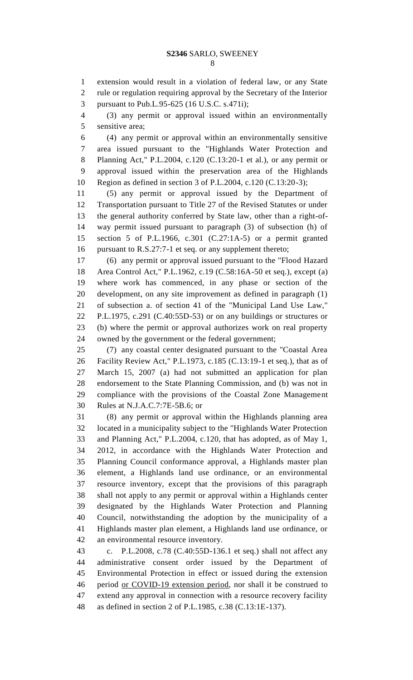extension would result in a violation of federal law, or any State rule or regulation requiring approval by the Secretary of the Interior pursuant to Pub.L.95-625 (16 U.S.C. s.471i);

 (3) any permit or approval issued within an environmentally sensitive area;

 (4) any permit or approval within an environmentally sensitive area issued pursuant to the "Highlands Water Protection and Planning Act," P.L.2004, c.120 (C.13:20-1 et al.), or any permit or approval issued within the preservation area of the Highlands Region as defined in section 3 of P.L.2004, c.120 (C.13:20-3);

 (5) any permit or approval issued by the Department of Transportation pursuant to Title 27 of the Revised Statutes or under the general authority conferred by State law, other than a right-of- way permit issued pursuant to paragraph (3) of subsection (h) of section 5 of P.L.1966, c.301 (C.27:1A-5) or a permit granted pursuant to R.S.27:7-1 et seq. or any supplement thereto;

 (6) any permit or approval issued pursuant to the "Flood Hazard Area Control Act," P.L.1962, c.19 (C.58:16A-50 et seq.), except (a) where work has commenced, in any phase or section of the development, on any site improvement as defined in paragraph (1) of subsection a. of section 41 of the "Municipal Land Use Law," P.L.1975, c.291 (C.40:55D-53) or on any buildings or structures or (b) where the permit or approval authorizes work on real property owned by the government or the federal government;

 (7) any coastal center designated pursuant to the "Coastal Area Facility Review Act," P.L.1973, c.185 (C.13:19-1 et seq.), that as of March 15, 2007 (a) had not submitted an application for plan endorsement to the State Planning Commission, and (b) was not in compliance with the provisions of the Coastal Zone Management Rules at N.J.A.C.7:7E-5B.6; or

 (8) any permit or approval within the Highlands planning area located in a municipality subject to the "Highlands Water Protection and Planning Act," P.L.2004, c.120, that has adopted, as of May 1, 2012, in accordance with the Highlands Water Protection and Planning Council conformance approval, a Highlands master plan element, a Highlands land use ordinance, or an environmental resource inventory, except that the provisions of this paragraph shall not apply to any permit or approval within a Highlands center designated by the Highlands Water Protection and Planning Council, notwithstanding the adoption by the municipality of a Highlands master plan element, a Highlands land use ordinance, or an environmental resource inventory.

 c. P.L.2008, c.78 (C.40:55D-136.1 et seq.) shall not affect any administrative consent order issued by the Department of Environmental Protection in effect or issued during the extension 46 period or COVID-19 extension period, nor shall it be construed to extend any approval in connection with a resource recovery facility as defined in section 2 of P.L.1985, c.38 (C.13:1E-137).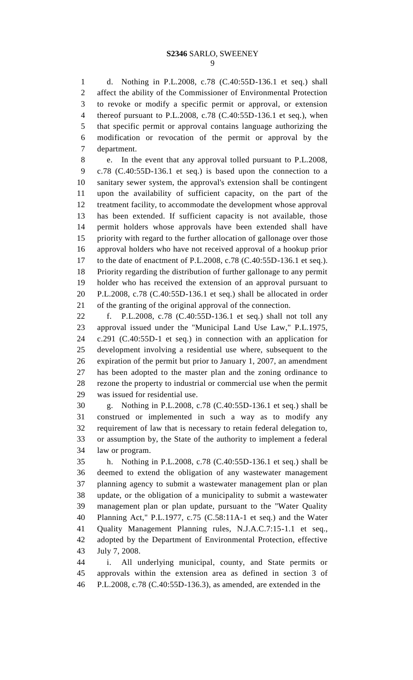## **S2346** SARLO, SWEENEY

 d. Nothing in P.L.2008, c.78 (C.40:55D-136.1 et seq.) shall affect the ability of the Commissioner of Environmental Protection to revoke or modify a specific permit or approval, or extension thereof pursuant to P.L.2008, c.78 (C.40:55D-136.1 et seq.), when that specific permit or approval contains language authorizing the modification or revocation of the permit or approval by the department.

 e. In the event that any approval tolled pursuant to P.L.2008, c.78 (C.40:55D-136.1 et seq.) is based upon the connection to a sanitary sewer system, the approval's extension shall be contingent upon the availability of sufficient capacity, on the part of the treatment facility, to accommodate the development whose approval has been extended. If sufficient capacity is not available, those permit holders whose approvals have been extended shall have priority with regard to the further allocation of gallonage over those approval holders who have not received approval of a hookup prior to the date of enactment of P.L.2008, c.78 (C.40:55D-136.1 et seq.). Priority regarding the distribution of further gallonage to any permit holder who has received the extension of an approval pursuant to P.L.2008, c.78 (C.40:55D-136.1 et seq.) shall be allocated in order of the granting of the original approval of the connection.

 f. P.L.2008, c.78 (C.40:55D-136.1 et seq.) shall not toll any approval issued under the "Municipal Land Use Law," P.L.1975, c.291 (C.40:55D-1 et seq.) in connection with an application for development involving a residential use where, subsequent to the expiration of the permit but prior to January 1, 2007, an amendment has been adopted to the master plan and the zoning ordinance to rezone the property to industrial or commercial use when the permit was issued for residential use.

 g. Nothing in P.L.2008, c.78 (C.40:55D-136.1 et seq.) shall be construed or implemented in such a way as to modify any requirement of law that is necessary to retain federal delegation to, or assumption by, the State of the authority to implement a federal law or program.

 h. Nothing in P.L.2008, c.78 (C.40:55D-136.1 et seq.) shall be deemed to extend the obligation of any wastewater management planning agency to submit a wastewater management plan or plan update, or the obligation of a municipality to submit a wastewater management plan or plan update, pursuant to the "Water Quality Planning Act," P.L.1977, c.75 (C.58:11A-1 et seq.) and the Water Quality Management Planning rules, N.J.A.C.7:15-1.1 et seq., adopted by the Department of Environmental Protection, effective July 7, 2008.

 i. All underlying municipal, county, and State permits or approvals within the extension area as defined in section 3 of P.L.2008, c.78 (C.40:55D-136.3), as amended, are extended in the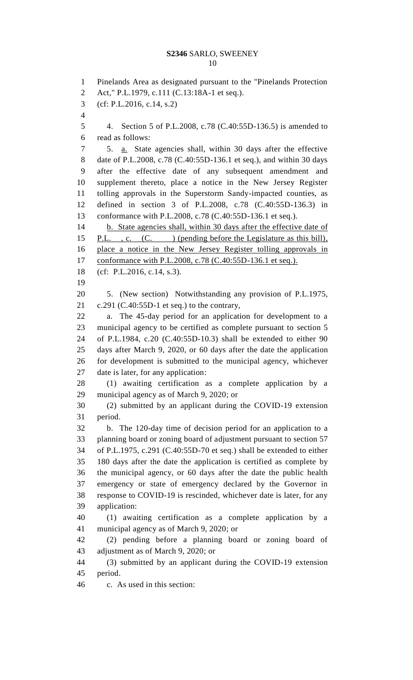#### **S2346** SARLO, SWEENEY

 Pinelands Area as designated pursuant to the "Pinelands Protection Act," P.L.1979, c.111 (C.13:18A-1 et seq.). (cf: P.L.2016, c.14, s.2) 4. Section 5 of P.L.2008, c.78 (C.40:55D-136.5) is amended to read as follows: 5. a. State agencies shall, within 30 days after the effective date of P.L.2008, c.78 (C.40:55D-136.1 et seq.), and within 30 days after the effective date of any subsequent amendment and supplement thereto, place a notice in the New Jersey Register tolling approvals in the Superstorm Sandy-impacted counties, as defined in section 3 of P.L.2008, c.78 (C.40:55D-136.3) in conformance with P.L.2008, c.78 (C.40:55D-136.1 et seq.). 14 b. State agencies shall, within 30 days after the effective date of 15 P.L., c. (C.) (pending before the Legislature as this bill), place a notice in the New Jersey Register tolling approvals in 17 conformance with P.L.2008, c.78 (C.40:55D-136.1 et seq.). (cf: P.L.2016, c.14, s.3). 5. (New section) Notwithstanding any provision of P.L.1975,  $c.291$  (C.40:55D-1 et seq.) to the contrary, a. The 45-day period for an application for development to a municipal agency to be certified as complete pursuant to section 5 of P.L.1984, c.20 (C.40:55D-10.3) shall be extended to either 90 days after March 9, 2020, or 60 days after the date the application for development is submitted to the municipal agency, whichever date is later, for any application: (1) awaiting certification as a complete application by a municipal agency as of March 9, 2020; or (2) submitted by an applicant during the COVID-19 extension period. b. The 120-day time of decision period for an application to a planning board or zoning board of adjustment pursuant to section 57 of P.L.1975, c.291 (C.40:55D-70 et seq.) shall be extended to either 180 days after the date the application is certified as complete by the municipal agency, or 60 days after the date the public health emergency or state of emergency declared by the Governor in response to COVID-19 is rescinded, whichever date is later, for any application: (1) awaiting certification as a complete application by a municipal agency as of March 9, 2020; or (2) pending before a planning board or zoning board of adjustment as of March 9, 2020; or (3) submitted by an applicant during the COVID-19 extension period. c. As used in this section: